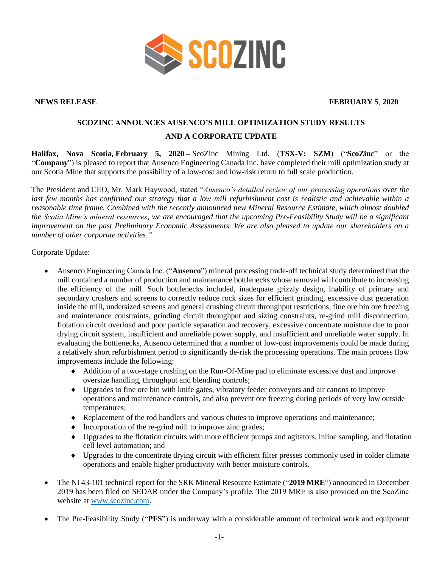

**NEWS RELEASE FEBRUARY 5**, **2020**

## **SCOZINC ANNOUNCES AUSENCO'S MILL OPTIMIZATION STUDY RESULTS AND A CORPORATE UPDATE**

**Halifax, Nova Scotia, February 5, 2020 –** ScoZinc Mining Ltd. (**TSX-V: SZM**) ("**ScoZinc**" or the "**Company**") is pleased to report that Ausenco Engineering Canada Inc. have completed their mill optimization study at our Scotia Mine that supports the possibility of a low-cost and low-risk return to full scale production.

The President and CEO, Mr. Mark Haywood, stated "*Ausenco's detailed review of our processing operations over the last few months has confirmed our strategy that a low mill refurbishment cost is realistic and achievable within a reasonable time frame. Combined with the recently announced new Mineral Resource Estimate, which almost doubled the Scotia Mine's mineral resources, we are encouraged that the upcoming Pre-Feasibility Study will be a significant improvement on the past Preliminary Economic Assessments. We are also pleased to update our shareholders on a number of other corporate activities."*

Corporate Update:

- Ausenco Engineering Canada Inc. ("**Ausenco**") mineral processing trade-off technical study determined that the mill contained a number of production and maintenance bottlenecks whose removal will contribute to increasing the efficiency of the mill. Such bottlenecks included, inadequate grizzly design, inability of primary and secondary crushers and screens to correctly reduce rock sizes for efficient grinding, excessive dust generation inside the mill, undersized screens and general crushing circuit throughput restrictions, fine ore bin ore freezing and maintenance constraints, grinding circuit throughput and sizing constraints, re-grind mill disconnection, flotation circuit overload and poor particle separation and recovery, excessive concentrate moisture due to poor drying circuit system, insufficient and unreliable power supply, and insufficient and unreliable water supply. In evaluating the bottlenecks, Ausenco determined that a number of low-cost improvements could be made during a relatively short refurbishment period to significantly de-risk the processing operations. The main process flow improvements include the following:
	- Addition of a two-stage crushing on the Run-Of-Mine pad to eliminate excessive dust and improve oversize handling, throughput and blending controls;
	- Upgrades to fine ore bin with knife gates, vibratory feeder conveyors and air canons to improve operations and maintenance controls, and also prevent ore freezing during periods of very low outside temperatures;
	- Replacement of the rod handlers and various chutes to improve operations and maintenance;
	- $\bullet$  Incorporation of the re-grind mill to improve zinc grades;
	- Upgrades to the flotation circuits with more efficient pumps and agitators, inline sampling, and flotation cell level automation; and
	- Upgrades to the concentrate drying circuit with efficient filter presses commonly used in colder climate operations and enable higher productivity with better moisture controls.
- The NI 43-101 technical report for the SRK Mineral Resource Estimate ("**2019 MRE**") announced in December 2019 has been filed on SEDAR under the Company's profile. The 2019 MRE is also provided on the ScoZinc website at [www.scozinc.com.](http://www.scozinc.com/)
- The Pre-Feasibility Study ("**PFS**") is underway with a considerable amount of technical work and equipment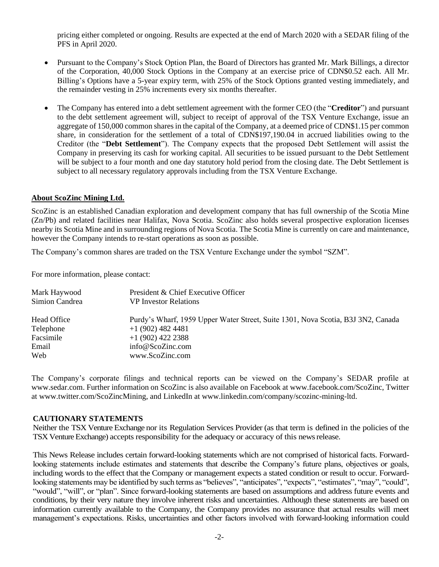pricing either completed or ongoing. Results are expected at the end of March 2020 with a SEDAR filing of the PFS in April 2020.

- Pursuant to the Company's Stock Option Plan, the Board of Directors has granted Mr. Mark Billings, a director of the Corporation, 40,000 Stock Options in the Company at an exercise price of CDN\$0.52 each. All Mr. Billing's Options have a 5-year expiry term, with 25% of the Stock Options granted vesting immediately, and the remainder vesting in 25% increments every six months thereafter.
- The Company has entered into a debt settlement agreement with the former CEO (the "**Creditor**") and pursuant to the debt settlement agreement will, subject to receipt of approval of the TSX Venture Exchange, issue an aggregate of 150,000 common shares in the capital of the Company, at a deemed price of CDN\$1.15 per common share, in consideration for the settlement of a total of CDN\$197,190.04 in accrued liabilities owing to the Creditor (the "**Debt Settlement**"). The Company expects that the proposed Debt Settlement will assist the Company in preserving its cash for working capital. All securities to be issued pursuant to the Debt Settlement will be subject to a four month and one day statutory hold period from the closing date. The Debt Settlement is subject to all necessary regulatory approvals including from the TSX Venture Exchange.

## **About ScoZinc Mining Ltd.**

ScoZinc is an established Canadian exploration and development company that has full ownership of the Scotia Mine (Zn/Pb) and related facilities near Halifax, Nova Scotia. ScoZinc also holds several prospective exploration licenses nearby its Scotia Mine and in surrounding regions of Nova Scotia. The Scotia Mine is currently on care and maintenance, however the Company intends to re-start operations as soon as possible.

The Company's common shares are traded on the TSX Venture Exchange under the symbol "SZM".

For more information, please contact:

| Mark Haywood<br>Simion Candrea | President & Chief Executive Officer<br><b>VP</b> Investor Relations              |
|--------------------------------|----------------------------------------------------------------------------------|
| Head Office                    | Purdy's Wharf, 1959 Upper Water Street, Suite 1301, Nova Scotia, B3J 3N2, Canada |
| Telephone                      | $+1$ (902) 482 4481                                                              |
| Facsimile                      | $+1(902)$ 422 2388                                                               |
| Email                          | info@ScoZinc.com                                                                 |
| Web                            | www.ScoZinc.com                                                                  |

The Company's corporate filings and technical reports can be viewed on the Company's SEDAR profile at [www.sedar.com.](http://www.sedar.com/) Further information on ScoZinc is also available on Facebook at www.facebook.com/ScoZinc, Twitter at www.twitter.com/ScoZincMining, and LinkedIn at www.linkedin.com/company/scozinc-mining-ltd.

## **CAUTIONARY STATEMENTS**

Neither the TSX Venture Exchange nor its Regulation Services Provider (as that term is defined in the policies of the TSX Venture Exchange) accepts responsibility for the adequacy or accuracy of this newsrelease.

This News Release includes certain forward-looking statements which are not comprised of historical facts. Forwardlooking statements include estimates and statements that describe the Company's future plans, objectives or goals, including words to the effect that the Company or management expects a stated condition or result to occur. Forwardlooking statements may be identified by such terms as "believes", "anticipates", "expects", "estimates", "may", "could", "would", "will", or "plan". Since forward-looking statements are based on assumptions and address future events and conditions, by their very nature they involve inherent risks and uncertainties. Although these statements are based on information currently available to the Company, the Company provides no assurance that actual results will meet management's expectations. Risks, uncertainties and other factors involved with forward-looking information could